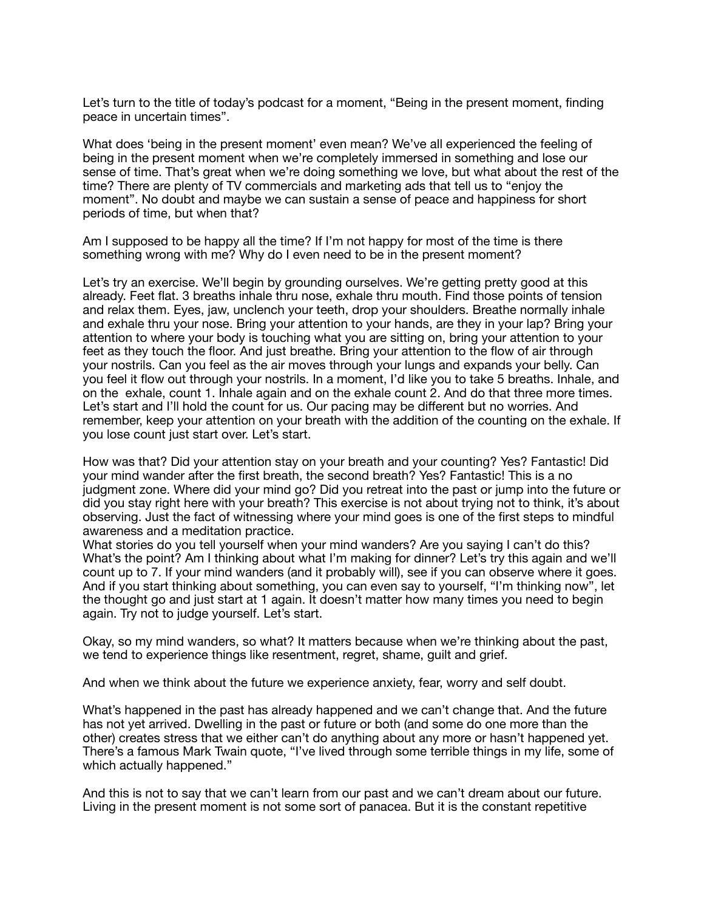Let's turn to the title of today's podcast for a moment, "Being in the present moment, finding peace in uncertain times".

What does 'being in the present moment' even mean? We've all experienced the feeling of being in the present moment when we're completely immersed in something and lose our sense of time. That's great when we're doing something we love, but what about the rest of the time? There are plenty of TV commercials and marketing ads that tell us to "enjoy the moment". No doubt and maybe we can sustain a sense of peace and happiness for short periods of time, but when that?

Am I supposed to be happy all the time? If I'm not happy for most of the time is there something wrong with me? Why do I even need to be in the present moment?

Let's try an exercise. We'll begin by grounding ourselves. We're getting pretty good at this already. Feet flat. 3 breaths inhale thru nose, exhale thru mouth. Find those points of tension and relax them. Eyes, jaw, unclench your teeth, drop your shoulders. Breathe normally inhale and exhale thru your nose. Bring your attention to your hands, are they in your lap? Bring your attention to where your body is touching what you are sitting on, bring your attention to your feet as they touch the floor. And just breathe. Bring your attention to the flow of air through your nostrils. Can you feel as the air moves through your lungs and expands your belly. Can you feel it flow out through your nostrils. In a moment, I'd like you to take 5 breaths. Inhale, and on the exhale, count 1. Inhale again and on the exhale count 2. And do that three more times. Let's start and I'll hold the count for us. Our pacing may be different but no worries. And remember, keep your attention on your breath with the addition of the counting on the exhale. If you lose count just start over. Let's start.

How was that? Did your attention stay on your breath and your counting? Yes? Fantastic! Did your mind wander after the first breath, the second breath? Yes? Fantastic! This is a no judgment zone. Where did your mind go? Did you retreat into the past or jump into the future or did you stay right here with your breath? This exercise is not about trying not to think, it's about observing. Just the fact of witnessing where your mind goes is one of the first steps to mindful awareness and a meditation practice.

What stories do you tell yourself when your mind wanders? Are you saying I can't do this? What's the point? Am I thinking about what I'm making for dinner? Let's try this again and we'll count up to 7. If your mind wanders (and it probably will), see if you can observe where it goes. And if you start thinking about something, you can even say to yourself, "I'm thinking now", let the thought go and just start at 1 again. It doesn't matter how many times you need to begin again. Try not to judge yourself. Let's start.

Okay, so my mind wanders, so what? It matters because when we're thinking about the past, we tend to experience things like resentment, regret, shame, guilt and grief.

And when we think about the future we experience anxiety, fear, worry and self doubt.

What's happened in the past has already happened and we can't change that. And the future has not yet arrived. Dwelling in the past or future or both (and some do one more than the other) creates stress that we either can't do anything about any more or hasn't happened yet. There's a famous Mark Twain quote, "I've lived through some terrible things in my life, some of which actually happened."

And this is not to say that we can't learn from our past and we can't dream about our future. Living in the present moment is not some sort of panacea. But it is the constant repetitive